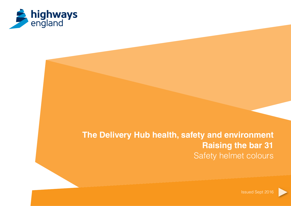

# **The Delivery Hub health, safety and environment Raising the bar 31** Safety helmet colours

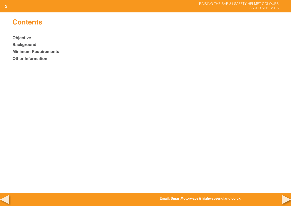# **Contents**

**[Objective](#page-2-0) [Background](#page-3-0) [Minimum Requirements](#page-4-0) [Other Information](#page-4-0)**



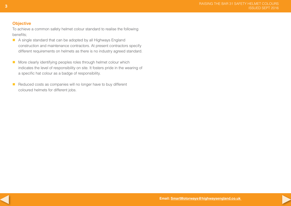### <span id="page-2-0"></span>**Objective**

To achieve a common safety helmet colour standard to realise the following benefits;

- A single standard that can be adopted by all Highways England construction and maintenance contractors. At present contractors specify different requirements on helmets as there is no industry agreed standard.
- **More clearly identifying peoples roles through helmet colour which** indicates the level of responsibility on site. It fosters pride in the wearing of a specific hat colour as a badge of responsibility.
- Reduced costs as companies will no longer have to buy different coloured helmets for different jobs.



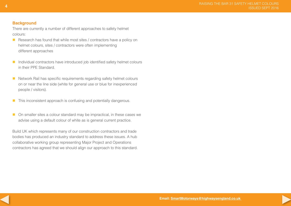#### <span id="page-3-0"></span>**Background**

There are currently a number of different approaches to safety helmet colours:

- Research has found that while most sites  $/$  contractors have a policy on helmet colours, sites / contractors were often implementing different approaches
- Individual contractors have introduced job identified safety helmet colours in their PPE Standard.
- Network Rail has specific requirements regarding safety helmet colours on or near the line side (white for general use or blue for inexperienced people / visitors).
- $\blacksquare$  This inconsistent approach is confusing and potentially dangerous.
- On smaller sites a colour standard may be impractical, in these cases we advise using a default colour of white as is general current practice.

Build UK which represents many of our construction contractors and trade bodies has produced an industry standard to address these issues. A hub collaborative working group representing Major Project and Operations contractors has agreed that we should align our approach to this standard.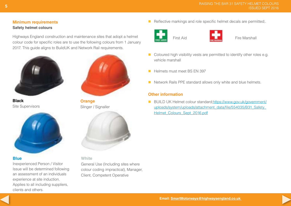## <span id="page-4-0"></span>**Minimum requirements Safety helmet colours**

Highways England construction and maintenance sites that adopt a helmet colour code for specific roles are to use the following colours from 1 January 2017. This quide aligns to BuildUK and Network Rail requirements.



**Black** Site Supervisors



#### **Blue**

Inexperienced Person / Visitor Issue will be determined following an assessment of an individuals experience at site induction. Applies to all including suppliers, clients and others.



**Orange** Slinger / Signaller



#### **White**

General Use (Including sites where colour coding impractical), Manager, Client, Competent Operative

 $\blacksquare$  Reflective markings and role specific helmet decals are permitted;





First Aid **First Aid Fire Marshall** 

- Coloured high visibility vests are permitted to identify other roles e.g. vehicle marshall
- **Helmets must meet BS FN 397**
- Network Rails PPE standard allows only white and blue helmets.

### **Other information**

■ BUILD UK Helmet colour standard:https://www.gov.uk/government/ uploads/system/uploads/attachment\_data/file/554035/B31\_Safety\_ Helmet\_Colours\_Sept\_2016.pdf